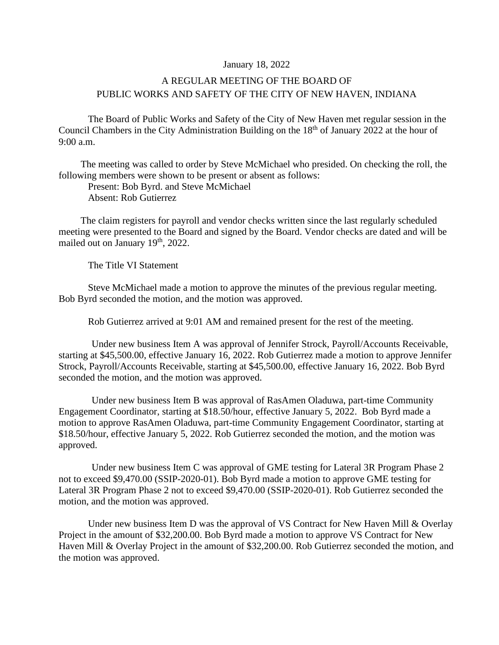## January 18, 2022

## A REGULAR MEETING OF THE BOARD OF PUBLIC WORKS AND SAFETY OF THE CITY OF NEW HAVEN, INDIANA

The Board of Public Works and Safety of the City of New Haven met regular session in the Council Chambers in the City Administration Building on the 18<sup>th</sup> of January 2022 at the hour of 9:00 a.m.

The meeting was called to order by Steve McMichael who presided. On checking the roll, the following members were shown to be present or absent as follows:

Present: Bob Byrd. and Steve McMichael Absent: Rob Gutierrez

The claim registers for payroll and vendor checks written since the last regularly scheduled meeting were presented to the Board and signed by the Board. Vendor checks are dated and will be mailed out on January 19<sup>th</sup>, 2022.

The Title VI Statement

Steve McMichael made a motion to approve the minutes of the previous regular meeting. Bob Byrd seconded the motion, and the motion was approved.

Rob Gutierrez arrived at 9:01 AM and remained present for the rest of the meeting.

Under new business Item A was approval of Jennifer Strock, Payroll/Accounts Receivable, starting at \$45,500.00, effective January 16, 2022. Rob Gutierrez made a motion to approve Jennifer Strock, Payroll/Accounts Receivable, starting at \$45,500.00, effective January 16, 2022. Bob Byrd seconded the motion, and the motion was approved.

Under new business Item B was approval of RasAmen Oladuwa, part-time Community Engagement Coordinator, starting at \$18.50/hour, effective January 5, 2022. Bob Byrd made a motion to approve RasAmen Oladuwa, part-time Community Engagement Coordinator, starting at \$18.50/hour, effective January 5, 2022. Rob Gutierrez seconded the motion, and the motion was approved.

Under new business Item C was approval of GME testing for Lateral 3R Program Phase 2 not to exceed \$9,470.00 (SSIP-2020-01). Bob Byrd made a motion to approve GME testing for Lateral 3R Program Phase 2 not to exceed \$9,470.00 (SSIP-2020-01). Rob Gutierrez seconded the motion, and the motion was approved.

Under new business Item D was the approval of VS Contract for New Haven Mill & Overlay Project in the amount of \$32,200.00. Bob Byrd made a motion to approve VS Contract for New Haven Mill & Overlay Project in the amount of \$32,200.00. Rob Gutierrez seconded the motion, and the motion was approved.